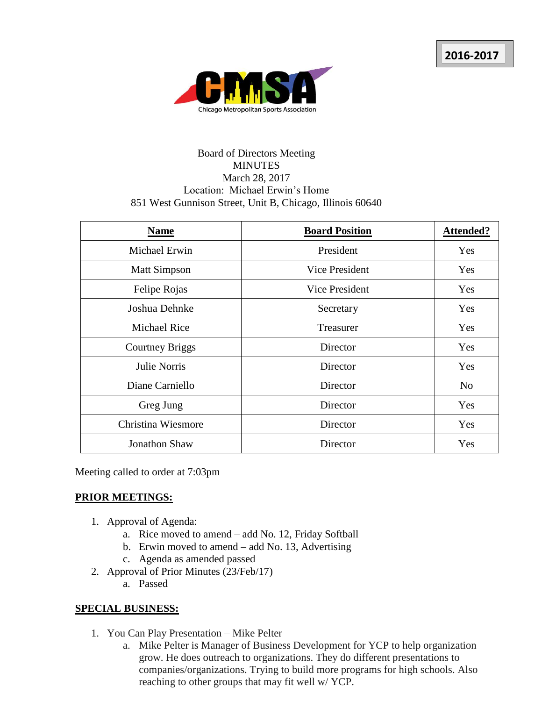

## Board of Directors Meeting MINUTES March 28, 2017 Location: Michael Erwin's Home 851 West Gunnison Street, Unit B, Chicago, Illinois 60640

| <b>Name</b>            | <b>Board Position</b> | <b>Attended?</b> |
|------------------------|-----------------------|------------------|
| Michael Erwin          | President             | Yes              |
| <b>Matt Simpson</b>    | Vice President        | Yes              |
| Felipe Rojas           | <b>Vice President</b> | Yes              |
| Joshua Dehnke          | Secretary             | Yes              |
| <b>Michael Rice</b>    | Treasurer             | Yes              |
| <b>Courtney Briggs</b> | Director              | Yes              |
| Julie Norris           | Director              | Yes              |
| Diane Carniello        | Director              | N <sub>o</sub>   |
| Greg Jung              | Director              | Yes              |
| Christina Wiesmore     | Director              | Yes              |
| <b>Jonathon Shaw</b>   | Director              | Yes              |

Meeting called to order at 7:03pm

## **PRIOR MEETINGS:**

- 1. Approval of Agenda:
	- a. Rice moved to amend add No. 12, Friday Softball
	- b. Erwin moved to amend add No. 13, Advertising
	- c. Agenda as amended passed
- 2. Approval of Prior Minutes (23/Feb/17)
	- a. Passed

## **SPECIAL BUSINESS:**

- 1. You Can Play Presentation Mike Pelter
	- a. Mike Pelter is Manager of Business Development for YCP to help organization grow. He does outreach to organizations. They do different presentations to companies/organizations. Trying to build more programs for high schools. Also reaching to other groups that may fit well w/ YCP.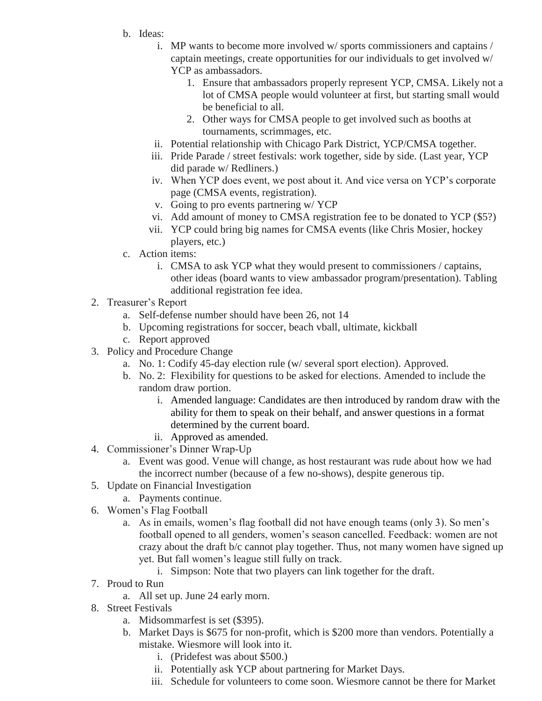- b. Ideas:
	- i. MP wants to become more involved w/ sports commissioners and captains / captain meetings, create opportunities for our individuals to get involved w/ YCP as ambassadors.
		- 1. Ensure that ambassadors properly represent YCP, CMSA. Likely not a lot of CMSA people would volunteer at first, but starting small would be beneficial to all.
		- 2. Other ways for CMSA people to get involved such as booths at tournaments, scrimmages, etc.
	- ii. Potential relationship with Chicago Park District, YCP/CMSA together.
	- iii. Pride Parade / street festivals: work together, side by side. (Last year, YCP did parade w/ Redliners.)
	- iv. When YCP does event, we post about it. And vice versa on YCP's corporate page (CMSA events, registration).
	- v. Going to pro events partnering w/ YCP
	- vi. Add amount of money to CMSA registration fee to be donated to YCP (\$5?)
	- vii. YCP could bring big names for CMSA events (like Chris Mosier, hockey players, etc.)
- c. Action items:
	- i. CMSA to ask YCP what they would present to commissioners / captains, other ideas (board wants to view ambassador program/presentation). Tabling additional registration fee idea.
- 2. Treasurer's Report
	- a. Self-defense number should have been 26, not 14
	- b. Upcoming registrations for soccer, beach vball, ultimate, kickball
	- c. Report approved
- 3. Policy and Procedure Change
	- a. No. 1: Codify 45-day election rule (w/ several sport election). Approved.
	- b. No. 2: Flexibility for questions to be asked for elections. Amended to include the random draw portion.
		- i. Amended language: Candidates are then introduced by random draw with the ability for them to speak on their behalf, and answer questions in a format determined by the current board.
		- ii. Approved as amended.
- 4. Commissioner's Dinner Wrap-Up
	- a. Event was good. Venue will change, as host restaurant was rude about how we had the incorrect number (because of a few no-shows), despite generous tip.
- 5. Update on Financial Investigation
	- a. Payments continue.
- 6. Women's Flag Football
	- a. As in emails, women's flag football did not have enough teams (only 3). So men's football opened to all genders, women's season cancelled. Feedback: women are not crazy about the draft b/c cannot play together. Thus, not many women have signed up yet. But fall women's league still fully on track.
		- i. Simpson: Note that two players can link together for the draft.
- 7. Proud to Run
	- a. All set up. June 24 early morn.
- 8. Street Festivals
	- a. Midsommarfest is set (\$395).
	- b. Market Days is \$675 for non-profit, which is \$200 more than vendors. Potentially a mistake. Wiesmore will look into it.
		- i. (Pridefest was about \$500.)
		- ii. Potentially ask YCP about partnering for Market Days.
		- iii. Schedule for volunteers to come soon. Wiesmore cannot be there for Market